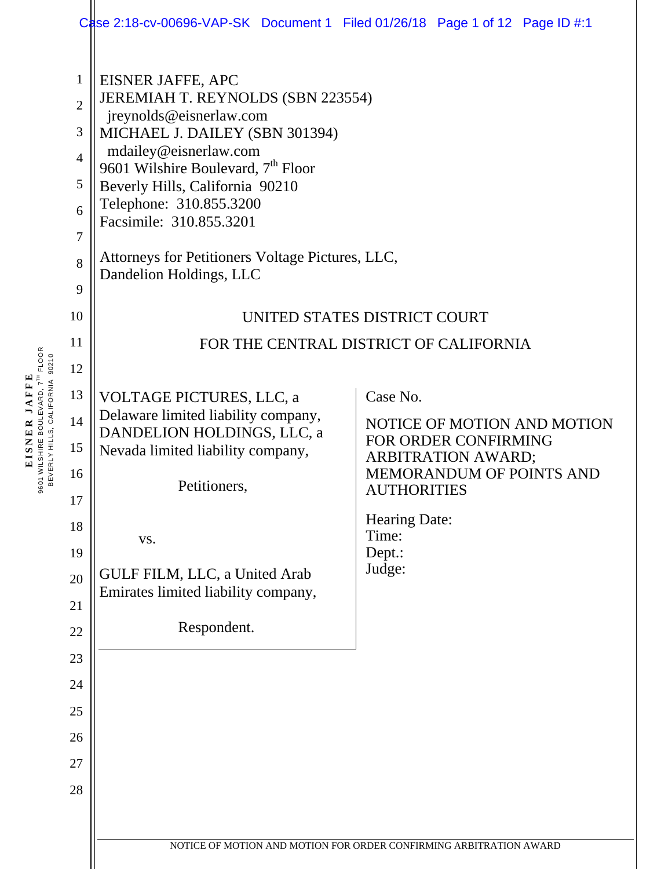|                                                                                             | Case 2:18-cv-00696-VAP-SK Document 1 Filed 01/26/18 Page 1 of 12 Page ID #:1                                                                                                                                                                                                                                                                                           |                                                                    |
|---------------------------------------------------------------------------------------------|------------------------------------------------------------------------------------------------------------------------------------------------------------------------------------------------------------------------------------------------------------------------------------------------------------------------------------------------------------------------|--------------------------------------------------------------------|
| $\mathbf{1}$<br>$\overline{2}$<br>3<br>$\overline{4}$<br>5<br>6<br>$\overline{7}$<br>8<br>9 | EISNER JAFFE, APC<br>JEREMIAH T. REYNOLDS (SBN 223554)<br>jreynolds@eisnerlaw.com<br>MICHAEL J. DAILEY (SBN 301394)<br>mdailey@eisnerlaw.com<br>9601 Wilshire Boulevard, 7 <sup>th</sup> Floor<br>Beverly Hills, California 90210<br>Telephone: 310.855.3200<br>Facsimile: 310.855.3201<br>Attorneys for Petitioners Voltage Pictures, LLC,<br>Dandelion Holdings, LLC |                                                                    |
| 10                                                                                          | UNITED STATES DISTRICT COURT                                                                                                                                                                                                                                                                                                                                           |                                                                    |
| 11                                                                                          |                                                                                                                                                                                                                                                                                                                                                                        | FOR THE CENTRAL DISTRICT OF CALIFORNIA                             |
| 12                                                                                          |                                                                                                                                                                                                                                                                                                                                                                        |                                                                    |
| 13                                                                                          | <b>VOLTAGE PICTURES, LLC, a</b>                                                                                                                                                                                                                                                                                                                                        | Case No.                                                           |
| 14                                                                                          | Delaware limited liability company,<br>DANDELION HOLDINGS, LLC, a                                                                                                                                                                                                                                                                                                      | NOTICE OF MOTION AND MOTION<br>FOR ORDER CONFIRMING                |
| 15                                                                                          | Nevada limited liability company,                                                                                                                                                                                                                                                                                                                                      | <b>ARBITRATION AWARD;</b>                                          |
| 16                                                                                          | Petitioners.                                                                                                                                                                                                                                                                                                                                                           | <b>MEMORANDUM OF POINTS AND</b><br>AUTHORITIES                     |
| 17                                                                                          |                                                                                                                                                                                                                                                                                                                                                                        | <b>Hearing Date:</b>                                               |
| 18<br>19                                                                                    | VS.                                                                                                                                                                                                                                                                                                                                                                    | Time:<br>Dept.:                                                    |
| 20                                                                                          | GULF FILM, LLC, a United Arab                                                                                                                                                                                                                                                                                                                                          | Judge:                                                             |
| 21                                                                                          | Emirates limited liability company,                                                                                                                                                                                                                                                                                                                                    |                                                                    |
| 22                                                                                          | Respondent.                                                                                                                                                                                                                                                                                                                                                            |                                                                    |
| 23                                                                                          |                                                                                                                                                                                                                                                                                                                                                                        |                                                                    |
| 24                                                                                          |                                                                                                                                                                                                                                                                                                                                                                        |                                                                    |
| 25                                                                                          |                                                                                                                                                                                                                                                                                                                                                                        |                                                                    |
| 26                                                                                          |                                                                                                                                                                                                                                                                                                                                                                        |                                                                    |
| 27                                                                                          |                                                                                                                                                                                                                                                                                                                                                                        |                                                                    |
| 28                                                                                          |                                                                                                                                                                                                                                                                                                                                                                        |                                                                    |
|                                                                                             |                                                                                                                                                                                                                                                                                                                                                                        |                                                                    |
|                                                                                             |                                                                                                                                                                                                                                                                                                                                                                        | NOTICE OF MOTION AND MOTION FOR ORDER CONFIRMING ARBITRATION AWARD |
|                                                                                             |                                                                                                                                                                                                                                                                                                                                                                        |                                                                    |

**EISNER JAFFE** 9601 WILSHIRE BOULEVARD, 7TH FLOOR BEVERLY HILLS, CALIFORNIA 90210

**EISNER JAFFE**<br>9601 WILSHIRE BOULEVARD, 7<sup>71</sup> FLOOR<br>BEVERLY HILLS, CALIFORNIA 90210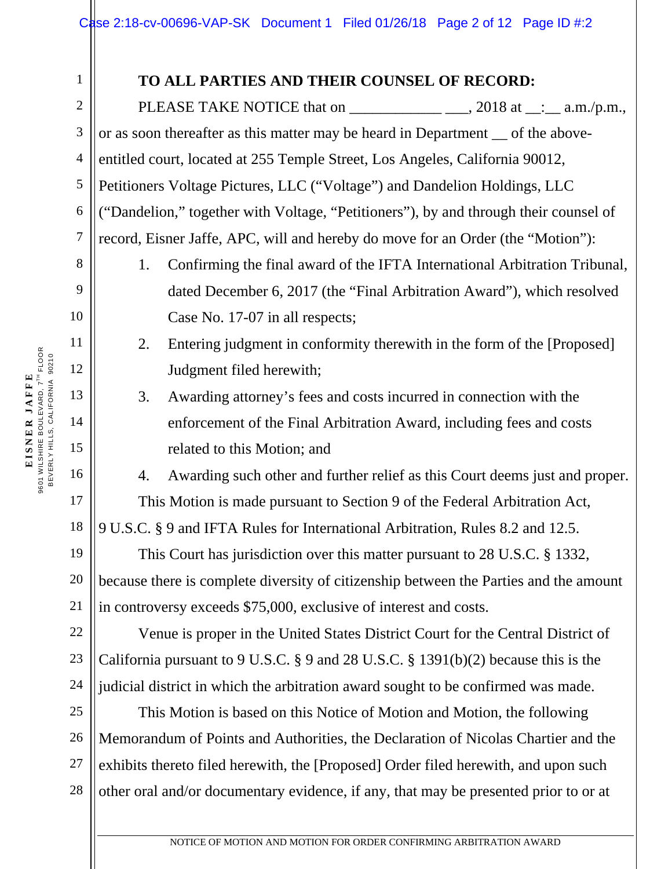#### **TO ALL PARTIES AND THEIR COUNSEL OF RECORD:**

PLEASE TAKE NOTICE that on \_\_\_\_\_\_\_\_\_\_\_\_\_\_\_\_\_\_\_\_, 2018 at \_\_:\_\_ a.m./p.m., or as soon thereafter as this matter may be heard in Department — of the aboveentitled court, located at 255 Temple Street, Los Angeles, California 90012, Petitioners Voltage Pictures, LLC ("Voltage") and Dandelion Holdings, LLC ("Dandelion," together with Voltage, "Petitioners"), by and through their counsel of record, Eisner Jaffe, APC, will and hereby do move for an Order (the "Motion"):

- 1. Confirming the final award of the IFTA International Arbitration Tribunal, dated December 6, 2017 (the "Final Arbitration Award"), which resolved Case No. 17-07 in all respects;
	- 2. Entering judgment in conformity therewith in the form of the [Proposed] Judgment filed herewith;
	- 3. Awarding attorney's fees and costs incurred in connection with the enforcement of the Final Arbitration Award, including fees and costs related to this Motion; and

4. Awarding such other and further relief as this Court deems just and proper. This Motion is made pursuant to Section 9 of the Federal Arbitration Act,

9 U.S.C. § 9 and IFTA Rules for International Arbitration, Rules 8.2 and 12.5.

This Court has jurisdiction over this matter pursuant to 28 U.S.C. § 1332, because there is complete diversity of citizenship between the Parties and the amount in controversy exceeds \$75,000, exclusive of interest and costs.

Venue is proper in the United States District Court for the Central District of California pursuant to 9 U.S.C. § 9 and 28 U.S.C. § 1391(b)(2) because this is the judicial district in which the arbitration award sought to be confirmed was made.

This Motion is based on this Notice of Motion and Motion, the following Memorandum of Points and Authorities, the Declaration of Nicolas Chartier and the exhibits thereto filed herewith, the [Proposed] Order filed herewith, and upon such other oral and/or documentary evidence, if any, that may be presented prior to or at

1

2

3

4

5

6

7

8

9

10

11

12

13

14

15

16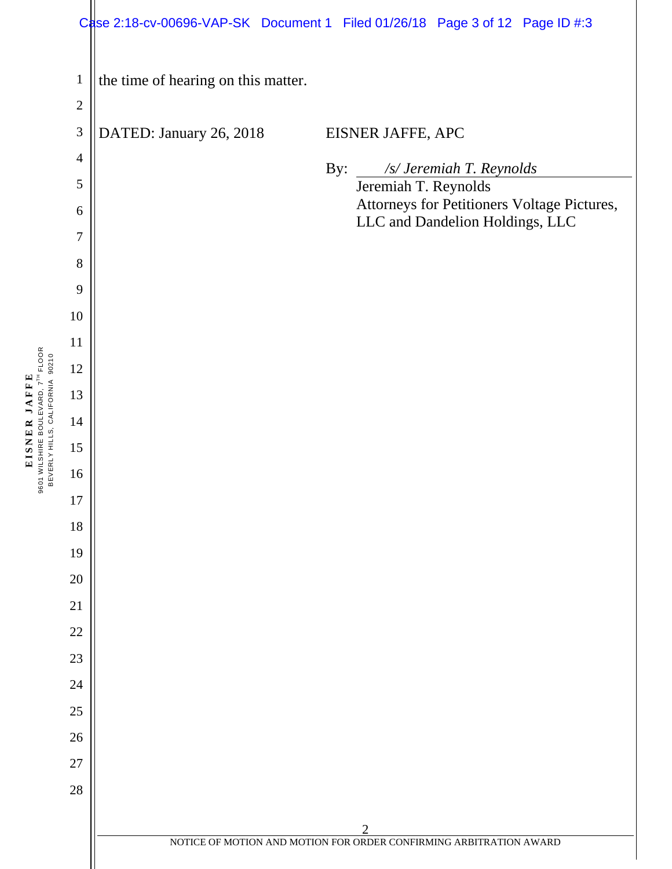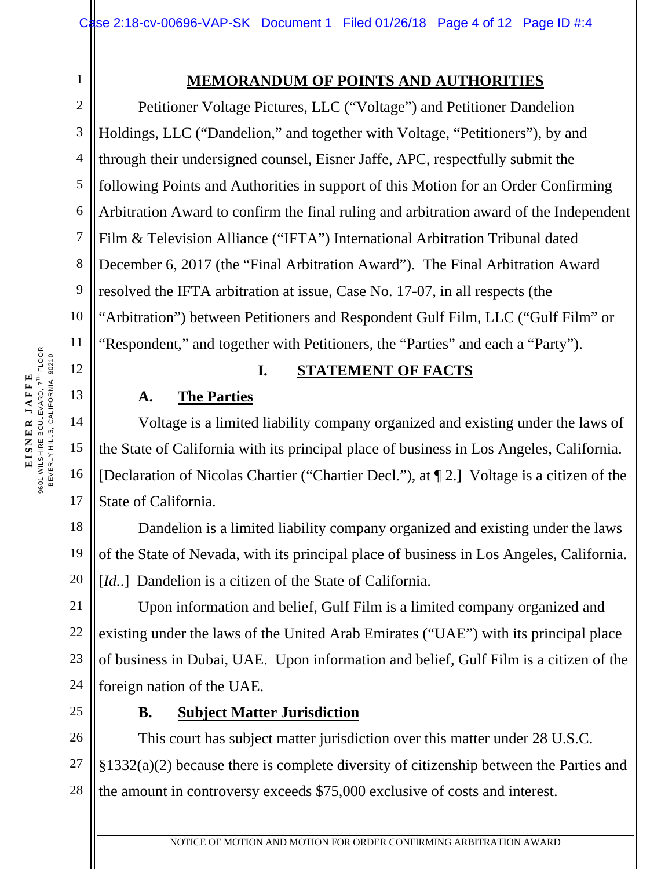# **MEMORANDUM OF POINTS AND AUTHORITIES**

Petitioner Voltage Pictures, LLC ("Voltage") and Petitioner Dandelion Holdings, LLC ("Dandelion," and together with Voltage, "Petitioners"), by and through their undersigned counsel, Eisner Jaffe, APC, respectfully submit the following Points and Authorities in support of this Motion for an Order Confirming Arbitration Award to confirm the final ruling and arbitration award of the Independent Film & Television Alliance ("IFTA") International Arbitration Tribunal dated December 6, 2017 (the "Final Arbitration Award"). The Final Arbitration Award resolved the IFTA arbitration at issue, Case No. 17-07, in all respects (the "Arbitration") between Petitioners and Respondent Gulf Film, LLC ("Gulf Film" or "Respondent," and together with Petitioners, the "Parties" and each a "Party").

## **I. STATEMENT OF FACTS**

## **A. The Parties**

Voltage is a limited liability company organized and existing under the laws of the State of California with its principal place of business in Los Angeles, California. [Declaration of Nicolas Chartier ("Chartier Decl."), at ¶ 2.] Voltage is a citizen of the State of California.

Dandelion is a limited liability company organized and existing under the laws of the State of Nevada, with its principal place of business in Los Angeles, California. [*Id..*] Dandelion is a citizen of the State of California.

21 23 24 Upon information and belief, Gulf Film is a limited company organized and existing under the laws of the United Arab Emirates ("UAE") with its principal place of business in Dubai, UAE. Upon information and belief, Gulf Film is a citizen of the foreign nation of the UAE.

**B. Subject Matter Jurisdiction** 

26 27 28 This court has subject matter jurisdiction over this matter under 28 U.S.C. §1332(a)(2) because there is complete diversity of citizenship between the Parties and the amount in controversy exceeds \$75,000 exclusive of costs and interest.

1

2

3

4

5

6

7

8

9

10

11

12

13

14

15

16

17

18

19

20

22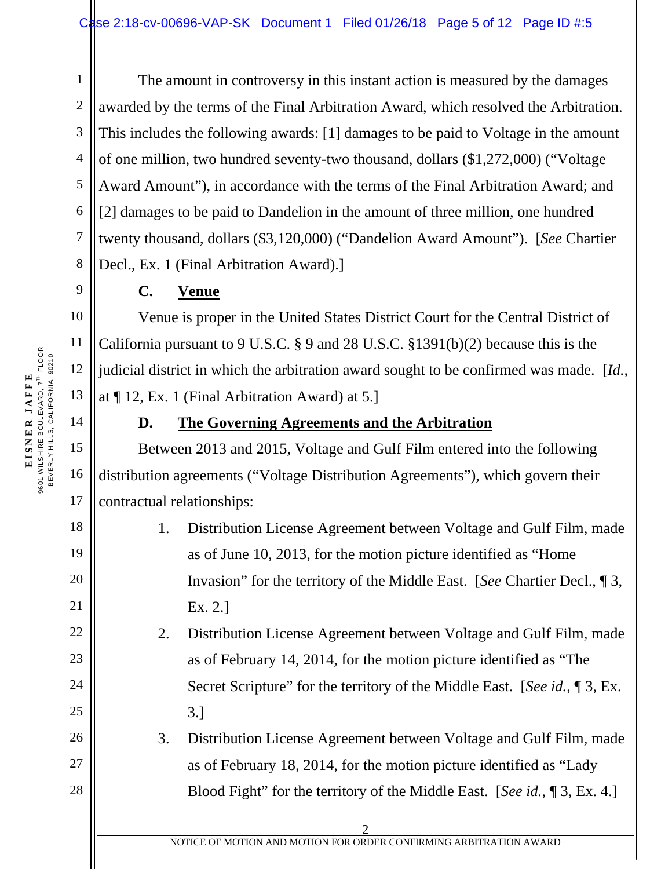3 4 The amount in controversy in this instant action is measured by the damages awarded by the terms of the Final Arbitration Award, which resolved the Arbitration. This includes the following awards: [1] damages to be paid to Voltage in the amount of one million, two hundred seventy-two thousand, dollars (\$1,272,000) ("Voltage Award Amount"), in accordance with the terms of the Final Arbitration Award; and [2] damages to be paid to Dandelion in the amount of three million, one hundred twenty thousand, dollars (\$3,120,000) ("Dandelion Award Amount"). [*See* Chartier Decl., Ex. 1 (Final Arbitration Award).]

# **C. Venue**

Venue is proper in the United States District Court for the Central District of California pursuant to 9 U.S.C. § 9 and 28 U.S.C. §1391(b)(2) because this is the judicial district in which the arbitration award sought to be confirmed was made. [*Id.*, at ¶ 12, Ex. 1 (Final Arbitration Award) at 5.]

1

2

5

6

7

8

9

10

11

12

13

14

15

16

17

18

19

20

21

22

23

24

25

26

27

28

## **D. The Governing Agreements and the Arbitration**

Between 2013 and 2015, Voltage and Gulf Film entered into the following distribution agreements ("Voltage Distribution Agreements"), which govern their contractual relationships:

| 1. | Distribution License Agreement between Voltage and Gulf Film, made        |
|----|---------------------------------------------------------------------------|
|    | as of June 10, 2013, for the motion picture identified as "Home"          |
|    | Invasion" for the territory of the Middle East. [See Chartier Decl., 1 3, |
|    | Ex. 2.1                                                                   |

2. Distribution License Agreement between Voltage and Gulf Film, made as of February 14, 2014, for the motion picture identified as "The Secret Scripture" for the territory of the Middle East. [*See id.*, ¶ 3, Ex. 3.]

3. Distribution License Agreement between Voltage and Gulf Film, made as of February 18, 2014, for the motion picture identified as "Lady Blood Fight" for the territory of the Middle East. [*See id.*, ¶ 3, Ex. 4.]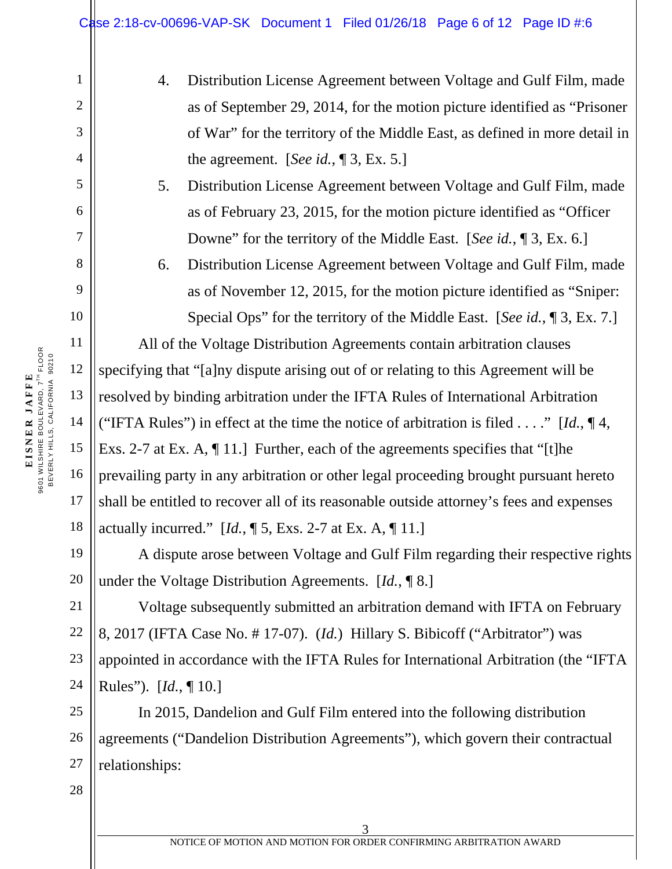- 4. Distribution License Agreement between Voltage and Gulf Film, made as of September 29, 2014, for the motion picture identified as "Prisoner of War" for the territory of the Middle East, as defined in more detail in the agreement. [*See id.*, ¶ 3, Ex. 5.]
- 5. Distribution License Agreement between Voltage and Gulf Film, made as of February 23, 2015, for the motion picture identified as "Officer Downe" for the territory of the Middle East. [*See id.*, ¶ 3, Ex. 6.]
- 6. Distribution License Agreement between Voltage and Gulf Film, made as of November 12, 2015, for the motion picture identified as "Sniper: Special Ops" for the territory of the Middle East. [*See id.*, ¶ 3, Ex. 7.]

All of the Voltage Distribution Agreements contain arbitration clauses specifying that "[a]ny dispute arising out of or relating to this Agreement will be resolved by binding arbitration under the IFTA Rules of International Arbitration ("IFTA Rules") in effect at the time the notice of arbitration is filed . . . ." [*Id.*, ¶ 4, Exs. 2-7 at Ex. A, ¶ 11.] Further, each of the agreements specifies that "[t]he prevailing party in any arbitration or other legal proceeding brought pursuant hereto shall be entitled to recover all of its reasonable outside attorney's fees and expenses actually incurred." [*Id.*, ¶ 5, Exs. 2-7 at Ex. A, ¶ 11.]

A dispute arose between Voltage and Gulf Film regarding their respective rights under the Voltage Distribution Agreements. [*Id.*, ¶ 8.]

Voltage subsequently submitted an arbitration demand with IFTA on February 8, 2017 (IFTA Case No. # 17-07). (*Id.*) Hillary S. Bibicoff ("Arbitrator") was appointed in accordance with the IFTA Rules for International Arbitration (the "IFTA Rules"). [*Id.*, ¶ 10.]

In 2015, Dandelion and Gulf Film entered into the following distribution agreements ("Dandelion Distribution Agreements"), which govern their contractual relationships:

1

2

3

4

5

6

7

8

9

10

11

12

13

14

15

16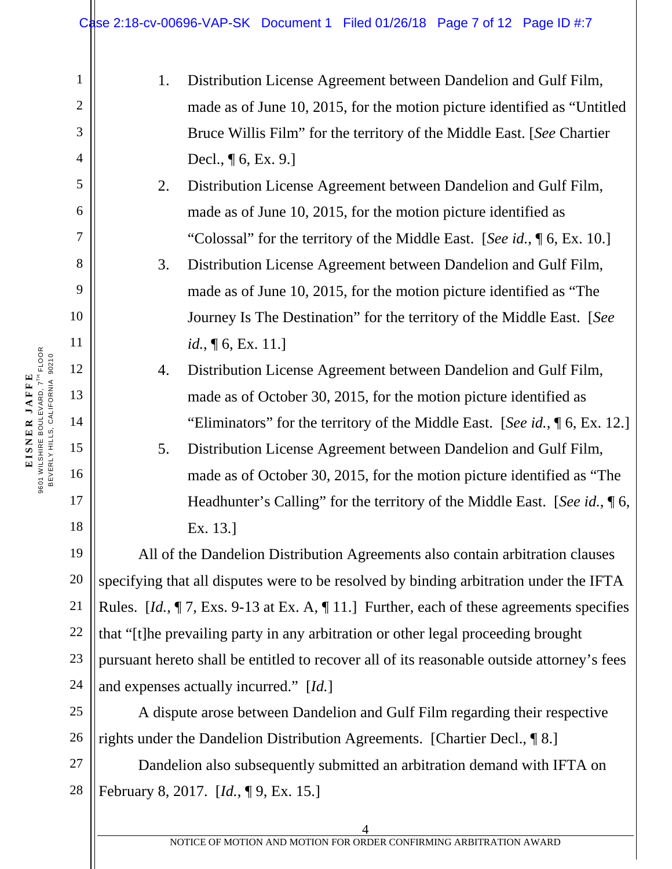|                                | Case 2:18-cv-00696-VAP-SK Document 1 Filed 01/26/18 Page 7 of 12 Page ID #:7                                                                       |  |
|--------------------------------|----------------------------------------------------------------------------------------------------------------------------------------------------|--|
| $\mathbf{1}$<br>$\overline{2}$ | Distribution License Agreement between Dandelion and Gulf Film,<br>1.<br>made as of June 10, 2015, for the motion picture identified as "Untitled" |  |
| 3                              | Bruce Willis Film" for the territory of the Middle East. [See Chartier                                                                             |  |
| $\overline{4}$                 | Decl., $\P$ 6, Ex. 9.]                                                                                                                             |  |
| 5                              | Distribution License Agreement between Dandelion and Gulf Film,<br>2.                                                                              |  |
| 6                              | made as of June 10, 2015, for the motion picture identified as                                                                                     |  |
| 7                              | "Colossal" for the territory of the Middle East. [See id., 16, Ex. 10.]                                                                            |  |
| 8                              | 3.<br>Distribution License Agreement between Dandelion and Gulf Film,                                                                              |  |
| 9                              | made as of June 10, 2015, for the motion picture identified as "The                                                                                |  |
| 10                             | Journey Is The Destination" for the territory of the Middle East. [See                                                                             |  |
| 11                             | <i>id.</i> , $\P$ 6, Ex. 11.]                                                                                                                      |  |
| 12                             | Distribution License Agreement between Dandelion and Gulf Film,<br>4.                                                                              |  |
| 13                             | made as of October 30, 2015, for the motion picture identified as                                                                                  |  |
| 14                             | "Eliminators" for the territory of the Middle East. [See id., 16, Ex. 12.]                                                                         |  |
| 15                             | 5.<br>Distribution License Agreement between Dandelion and Gulf Film,                                                                              |  |
| 16                             | made as of October 30, 2015, for the motion picture identified as "The                                                                             |  |
| 17                             | Headhunter's Calling" for the territory of the Middle East. [See id., \int] 6,                                                                     |  |
| 18                             | Ex. 13.]                                                                                                                                           |  |
| 19                             | All of the Dandelion Distribution Agreements also contain arbitration clauses                                                                      |  |
| 20                             | specifying that all disputes were to be resolved by binding arbitration under the IFTA                                                             |  |
| 21                             | Rules. $[d, \P 7, Exs. 9-13$ at Ex. A, $\P 11$ . Further, each of these agreements specifies                                                       |  |
| 22                             | that "[t] he prevailing party in any arbitration or other legal proceeding brought                                                                 |  |
| 23                             | pursuant hereto shall be entitled to recover all of its reasonable outside attorney's fees                                                         |  |
| 24                             | and expenses actually incurred." [Id.]                                                                                                             |  |
| 25                             | A dispute arose between Dandelion and Gulf Film regarding their respective                                                                         |  |
| 26                             | rights under the Dandelion Distribution Agreements. [Chartier Decl., 18.]                                                                          |  |
| 27                             | Dandelion also subsequently submitted an arbitration demand with IFTA on                                                                           |  |
| 28                             | February 8, 2017. [Id., ¶ 9, Ex. 15.]                                                                                                              |  |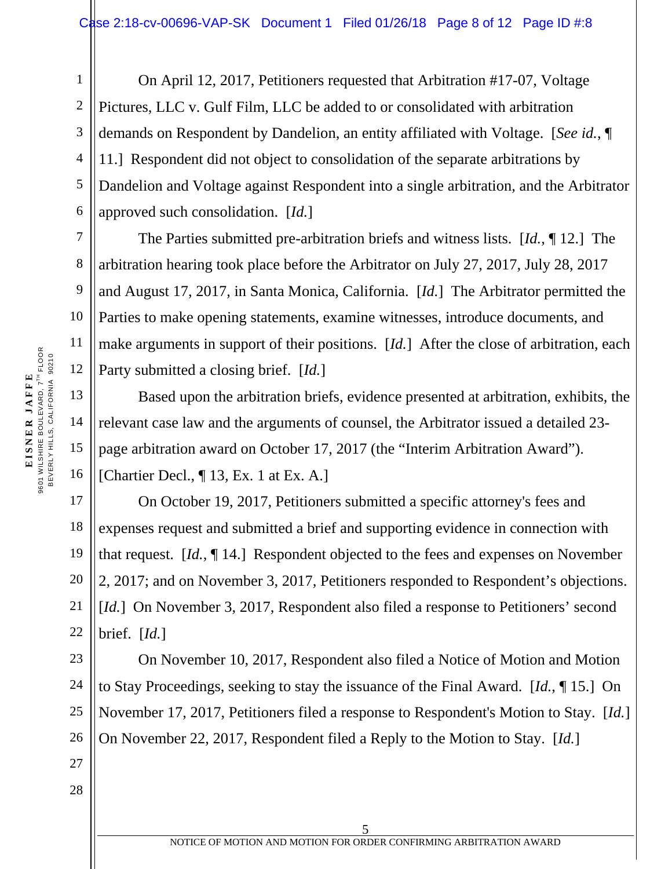1 2 3 4 5 6 On April 12, 2017, Petitioners requested that Arbitration #17-07, Voltage Pictures, LLC v. Gulf Film, LLC be added to or consolidated with arbitration demands on Respondent by Dandelion, an entity affiliated with Voltage. [*See id.*, ¶ 11.] Respondent did not object to consolidation of the separate arbitrations by Dandelion and Voltage against Respondent into a single arbitration, and the Arbitrator approved such consolidation. [*Id.*]

The Parties submitted pre-arbitration briefs and witness lists. [*Id.*, ¶ 12.] The arbitration hearing took place before the Arbitrator on July 27, 2017, July 28, 2017 and August 17, 2017, in Santa Monica, California. [*Id.*] The Arbitrator permitted the Parties to make opening statements, examine witnesses, introduce documents, and make arguments in support of their positions. [*Id.*] After the close of arbitration, each Party submitted a closing brief. [*Id.*]

Based upon the arbitration briefs, evidence presented at arbitration, exhibits, the relevant case law and the arguments of counsel, the Arbitrator issued a detailed 23 page arbitration award on October 17, 2017 (the "Interim Arbitration Award"). [Chartier Decl., ¶ 13, Ex. 1 at Ex. A.]

On October 19, 2017, Petitioners submitted a specific attorney's fees and expenses request and submitted a brief and supporting evidence in connection with that request. [*Id.*, ¶ 14.] Respondent objected to the fees and expenses on November 2, 2017; and on November 3, 2017, Petitioners responded to Respondent's objections. [*Id.*] On November 3, 2017, Respondent also filed a response to Petitioners' second brief. [*Id.*]

On November 10, 2017, Respondent also filed a Notice of Motion and Motion to Stay Proceedings, seeking to stay the issuance of the Final Award. [*Id.*, ¶ 15.] On November 17, 2017, Petitioners filed a response to Respondent's Motion to Stay. [*Id.*] On November 22, 2017, Respondent filed a Reply to the Motion to Stay. [*Id.*]

7

8

9

10

11

12

13

14

15

16

17

18

19

20

21

22

23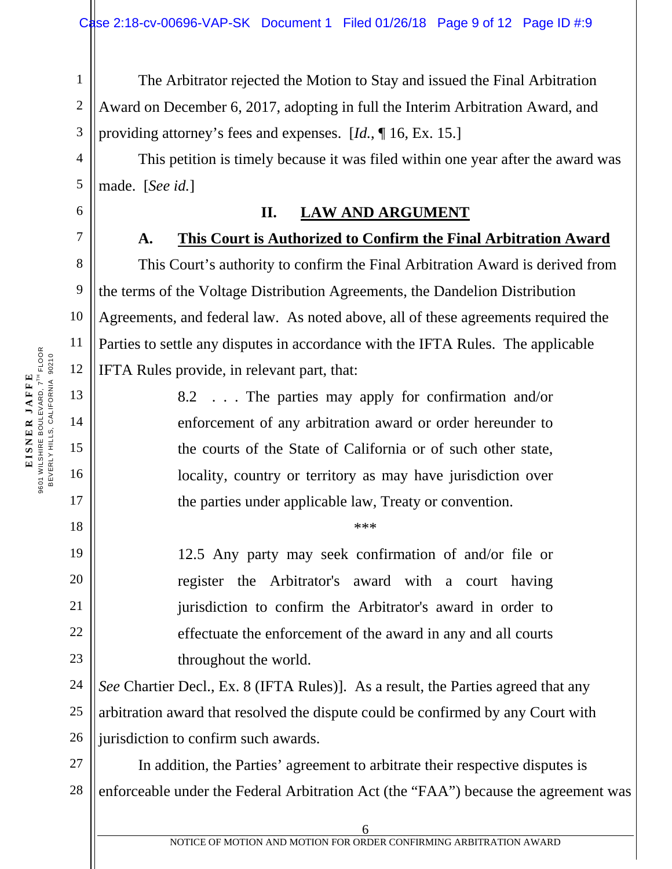1 2 3 The Arbitrator rejected the Motion to Stay and issued the Final Arbitration Award on December 6, 2017, adopting in full the Interim Arbitration Award, and providing attorney's fees and expenses. [*Id.*, ¶ 16, Ex. 15.]

This petition is timely because it was filed within one year after the award was made. [*See id.*]

#### **II. LAW AND ARGUMENT**

#### **A. This Court is Authorized to Confirm the Final Arbitration Award**

This Court's authority to confirm the Final Arbitration Award is derived from the terms of the Voltage Distribution Agreements, the Dandelion Distribution Agreements, and federal law. As noted above, all of these agreements required the Parties to settle any disputes in accordance with the IFTA Rules. The applicable IFTA Rules provide, in relevant part, that:

> 8.2 . . . The parties may apply for confirmation and/or enforcement of any arbitration award or order hereunder to the courts of the State of California or of such other state, locality, country or territory as may have jurisdiction over the parties under applicable law, Treaty or convention.

> > \*\*\*

12.5 Any party may seek confirmation of and/or file or register the Arbitrator's award with a court having jurisdiction to confirm the Arbitrator's award in order to effectuate the enforcement of the award in any and all courts throughout the world.

24 25 26 *See* Chartier Decl., Ex. 8 (IFTA Rules)]. As a result, the Parties agreed that any arbitration award that resolved the dispute could be confirmed by any Court with jurisdiction to confirm such awards.

27 28 In addition, the Parties' agreement to arbitrate their respective disputes is enforceable under the Federal Arbitration Act (the "FAA") because the agreement was

4

5

6

7

8

9

10

11

12

13

14

15

16

17

18

19

20

21

22

23

6 NOTICE OF MOTION AND MOTION FOR ORDER CONFIRMING ARBITRATION AWARD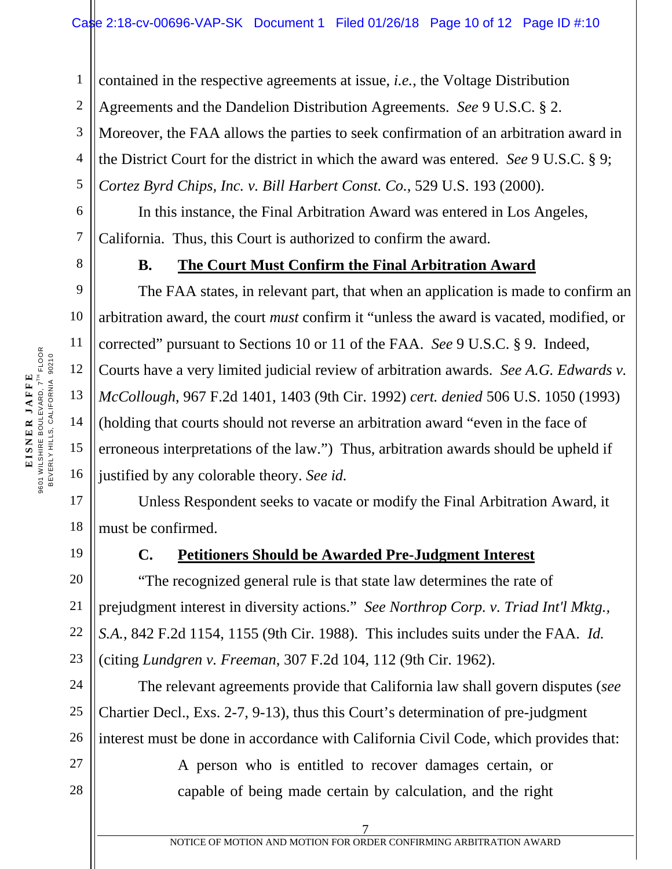contained in the respective agreements at issue, *i.e.*, the Voltage Distribution

2 Agreements and the Dandelion Distribution Agreements. *See* 9 U.S.C. § 2.

3 Moreover, the FAA allows the parties to seek confirmation of an arbitration award in

4 the District Court for the district in which the award was entered. *See* 9 U.S.C. § 9;

*Cortez Byrd Chips, Inc. v. Bill Harbert Const. Co.*, 529 U.S. 193 (2000).

In this instance, the Final Arbitration Award was entered in Los Angeles, California. Thus, this Court is authorized to confirm the award.

1

5

6

7

8

9

10

11

12

13

14

15

16

17

18

## **B. The Court Must Confirm the Final Arbitration Award**

The FAA states, in relevant part, that when an application is made to confirm an arbitration award, the court *must* confirm it "unless the award is vacated, modified, or corrected" pursuant to Sections 10 or 11 of the FAA. *See* 9 U.S.C. § 9. Indeed, Courts have a very limited judicial review of arbitration awards. *See A.G. Edwards v. McCollough*, 967 F.2d 1401, 1403 (9th Cir. 1992) *cert. denied* 506 U.S. 1050 (1993) (holding that courts should not reverse an arbitration award "even in the face of erroneous interpretations of the law.") Thus, arbitration awards should be upheld if justified by any colorable theory. *See id.*

Unless Respondent seeks to vacate or modify the Final Arbitration Award, it must be confirmed.

19

# **C. Petitioners Should be Awarded Pre-Judgment Interest**

20 "The recognized general rule is that state law determines the rate of prejudgment interest in diversity actions." *See Northrop Corp. v. Triad Int'l Mktg., S.A.*, 842 F.2d 1154, 1155 (9th Cir. 1988). This includes suits under the FAA. *Id.*  (citing *Lundgren v. Freeman*, 307 F.2d 104, 112 (9th Cir. 1962).

The relevant agreements provide that California law shall govern disputes (*see*  Chartier Decl., Exs. 2-7, 9-13), thus this Court's determination of pre-judgment interest must be done in accordance with California Civil Code, which provides that:

> A person who is entitled to recover damages certain, or capable of being made certain by calculation, and the right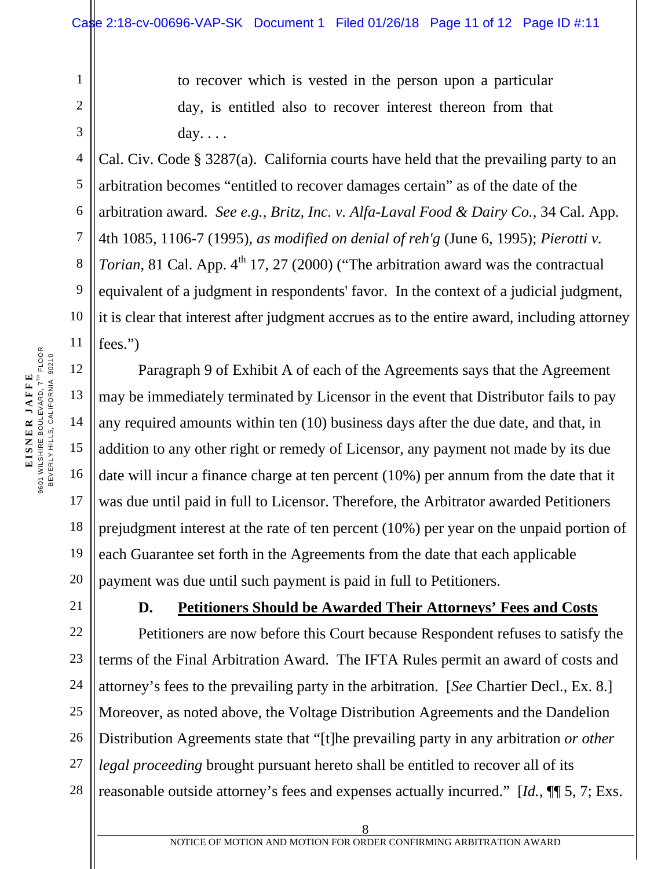to recover which is vested in the person upon a particular day, is entitled also to recover interest thereon from that day. . . .

Cal. Civ. Code § 3287(a). California courts have held that the prevailing party to an arbitration becomes "entitled to recover damages certain" as of the date of the arbitration award. *See e.g.*, *Britz, Inc. v. Alfa-Laval Food & Dairy Co.*, 34 Cal. App. 4th 1085, 1106-7 (1995), *as modified on denial of reh'g* (June 6, 1995); *Pierotti v. Torian*, 81 Cal. App.  $4^{th}$  17, 27 (2000) ("The arbitration award was the contractual equivalent of a judgment in respondents' favor. In the context of a judicial judgment, it is clear that interest after judgment accrues as to the entire award, including attorney fees.")

 Paragraph 9 of Exhibit A of each of the Agreements says that the Agreement may be immediately terminated by Licensor in the event that Distributor fails to pay any required amounts within ten (10) business days after the due date, and that, in addition to any other right or remedy of Licensor, any payment not made by its due date will incur a finance charge at ten percent (10%) per annum from the date that it was due until paid in full to Licensor. Therefore, the Arbitrator awarded Petitioners prejudgment interest at the rate of ten percent (10%) per year on the unpaid portion of each Guarantee set forth in the Agreements from the date that each applicable payment was due until such payment is paid in full to Petitioners.

# **D. Petitioners Should be Awarded Their Attorneys' Fees and Costs**

Petitioners are now before this Court because Respondent refuses to satisfy the terms of the Final Arbitration Award. The IFTA Rules permit an award of costs and attorney's fees to the prevailing party in the arbitration. [*See* Chartier Decl., Ex. 8.] Moreover, as noted above, the Voltage Distribution Agreements and the Dandelion Distribution Agreements state that "[t]he prevailing party in any arbitration *or other legal proceeding* brought pursuant hereto shall be entitled to recover all of its reasonable outside attorney's fees and expenses actually incurred." [*Id.*, ¶¶ 5, 7; Exs.

1

2

3

4

5

6

7

8

9

10

11

12

13

14

15

16

17

18